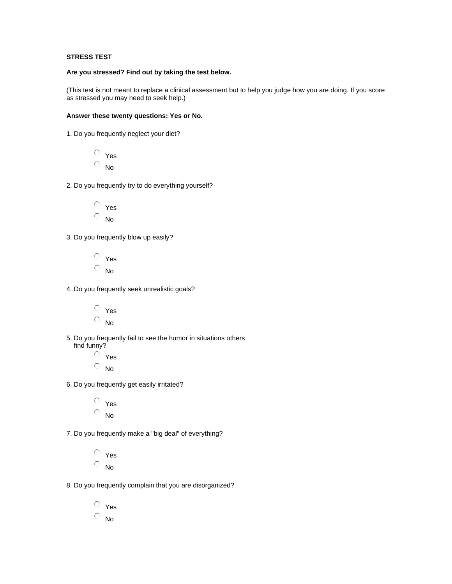## **STRESS TEST**

## **Are you stressed? Find out by taking the test below.**

(This test is not meant to replace a clinical assessment but to help you judge how you are doing. If you score as stressed you may need to seek help.)

## **Answer these twenty questions: Yes or No.**

1. Do you frequently neglect your diet?

Yes  $\overline{\circ}$  No

- 2. Do you frequently try to do everything yourself?
	- Yes  $\circ$  No
- 3. Do you frequently blow up easily?
	- Yes  $\circ$  No
- 4. Do you frequently seek unrealistic goals?
	- Yes  $\circ$  No
- 5. Do you frequently fail to see the humor in situations others find funny?
	- $O$  Yes  $\circ$  No
- 6. Do you frequently get easily irritated?
	- Yes  $\circ$  No
- 7. Do you frequently make a "big deal" of everything?
	- Yes  $\circ$  No
- 8. Do you frequently complain that you are disorganized?
	- Yes  $\overline{\circ}$  No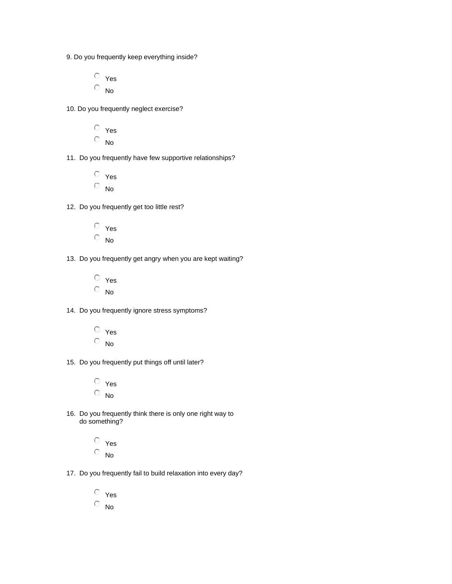- 9. Do you frequently keep everything inside?
	- Yes  $\circ$  No
- 10. Do you frequently neglect exercise?
	- Yes  $\overline{\circ}$  No
- 11. Do you frequently have few supportive relationships?
	- Yes  $\circ$  No
- 12. Do you frequently get too little rest?
	- Yes  $\overline{\circ}$  No
- 13. Do you frequently get angry when you are kept waiting?
	- Yes  $\overline{\circ}$  No
- 14. Do you frequently ignore stress symptoms?
	- Yes  $\circ$  No
- 15. Do you frequently put things off until later?
	- Yes  $\overline{\circ}$  No
- 16. Do you frequently think there is only one right way to do something?
	- Yes  $\overline{O}$  No.
- 17. Do you frequently fail to build relaxation into every day?
	- Yes  $\overline{\circ}$  No